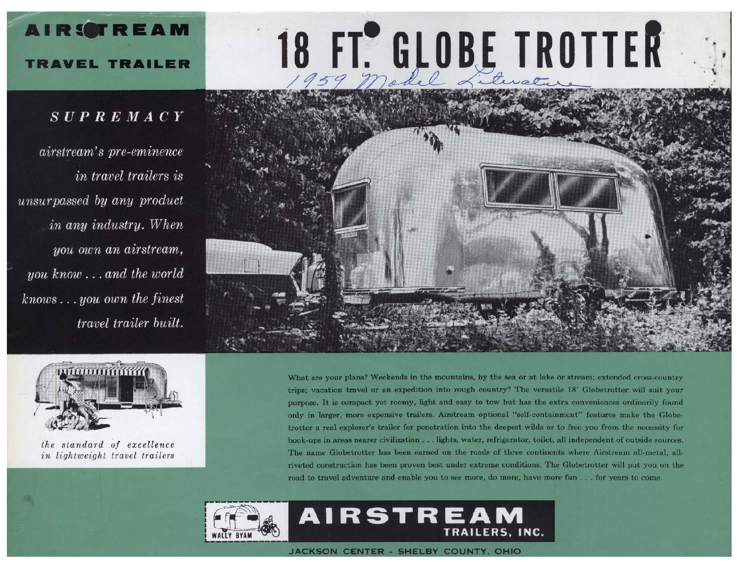# 18 FT. GLOBE TROTTER



What are your plans? Weekends in the mountains, by the sea or at lake or stream; extended cross-country trips; vacation travel or an expedition into rough country? The versatile 18' Globetrotter will suit your purpose. It is compact yet roomy, light and easy to tow but has the extra conveniences ordinarily found only in larger, more expensive trailers. Airstream optional "self-containment" features make the Globetrotter a real explorer's trailer for penetration into the deepest wilds or to free you from the necessity for hook-ups in areas nearer civilization . . . lights, water, refrigerator, toilet, all independent of outside sources. The name Globetrotter has been earned on the roads of three continents where Airstream all-metal, allriveted construction has been proven best under extreme conditions. The Globetrotter will put you on the road to travel adventure and enable you to see more, do more, have more fun . . . for years to come.

TRAILERS, INC.



## **TRAVEL TRAILER**

**AIRSTREAM** 

### $SUPREMACY$

airstream's pre-eminence *in travel trailers is* unsurpassed by any product in any industry. When you own an airstream, you know...and the world  $knows...you$  own the finest travel trailer built.



the standard of excellence in lightweight travel trailers

JACKSON CENTER - SHELBY COUNTY, OHIO